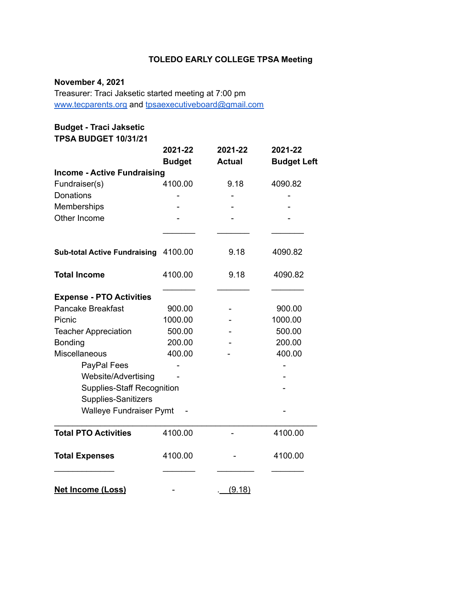# **TOLEDO EARLY COLLEGE TPSA Meeting**

# **November 4, 2021**

Treasurer: Traci Jaksetic started meeting at 7:00 pm [www.tecparents.org](http://www.tecpartents.org) and [tpsaexecutiveboard@gmail.com](mailto:tpsaexeutiveboard@gmail.com)

# **Budget - Traci Jaksetic**

**TPSA BUDGET 10/31/21**

|                                     | 2021-22       | 2021-22       | 2021-22            |  |
|-------------------------------------|---------------|---------------|--------------------|--|
|                                     | <b>Budget</b> | <b>Actual</b> | <b>Budget Left</b> |  |
| <b>Income - Active Fundraising</b>  |               |               |                    |  |
| Fundraiser(s)                       | 4100.00       | 9.18          | 4090.82            |  |
| Donations                           |               |               |                    |  |
| Memberships                         |               |               |                    |  |
| Other Income                        |               |               |                    |  |
|                                     |               |               |                    |  |
| <b>Sub-total Active Fundraising</b> | 4100.00       | 9.18          | 4090.82            |  |
| <b>Total Income</b>                 | 4100.00       | 9.18          | 4090.82            |  |
| <b>Expense - PTO Activities</b>     |               |               |                    |  |
| <b>Pancake Breakfast</b>            | 900.00        |               | 900.00             |  |
| Picnic                              | 1000.00       |               | 1000.00            |  |
| <b>Teacher Appreciation</b>         | 500.00        |               | 500.00             |  |
| Bonding                             | 200.00        |               | 200.00             |  |
| Miscellaneous                       | 400.00        |               | 400.00             |  |
| PayPal Fees                         |               |               |                    |  |
| Website/Advertising                 |               |               |                    |  |
| <b>Supplies-Staff Recognition</b>   |               |               |                    |  |
| Supplies-Sanitizers                 |               |               |                    |  |
| <b>Walleye Fundraiser Pymt</b>      |               |               |                    |  |
| <b>Total PTO Activities</b>         | 4100.00       |               | 4100.00            |  |
| <b>Total Expenses</b>               | 4100.00       |               | 4100.00            |  |
| <b>Net Income (Loss)</b>            |               | (9.18)        |                    |  |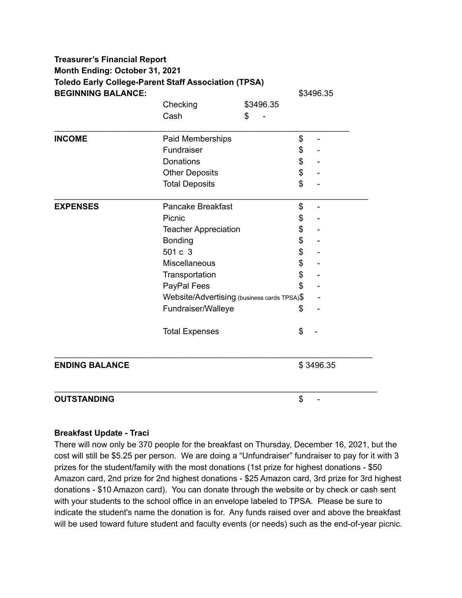| <b>BEGINNING BALANCE:</b> | <b>Toledo Early College-Parent Staff Association (TPSA)</b> |           | \$3496.35                      |  |
|---------------------------|-------------------------------------------------------------|-----------|--------------------------------|--|
|                           | Checking                                                    | \$3496.35 |                                |  |
|                           | Cash                                                        | \$        |                                |  |
| <b>INCOME</b>             | Paid Memberships                                            |           | \$                             |  |
|                           | Fundraiser                                                  |           | \$                             |  |
|                           | Donations                                                   |           | \$                             |  |
|                           | <b>Other Deposits</b>                                       |           | \$                             |  |
|                           | <b>Total Deposits</b>                                       |           | \$                             |  |
| <b>EXPENSES</b>           | <b>Pancake Breakfast</b>                                    |           | \$<br>$\overline{\phantom{m}}$ |  |
|                           | Picnic                                                      |           | \$                             |  |
|                           | <b>Teacher Appreciation</b>                                 |           | \$                             |  |
|                           | <b>Bonding</b>                                              |           | \$                             |  |
|                           | 501 c 3                                                     |           | \$                             |  |
|                           | Miscellaneous                                               |           | \$                             |  |
|                           | Transportation                                              |           | \$                             |  |
|                           | PayPal Fees                                                 |           | \$                             |  |
|                           | Website/Advertising (business cards TPSA)\$                 |           |                                |  |
|                           | Fundraiser/Walleye                                          |           | \$                             |  |
|                           | <b>Total Expenses</b>                                       |           | \$                             |  |
| <b>ENDING BALANCE</b>     |                                                             |           | \$3496.35                      |  |
| <b>OUTSTANDING</b>        |                                                             |           | \$                             |  |

#### **Breakfast Update - Traci**

There will now only be 370 people for the breakfast on Thursday, December 16, 2021, but the cost will still be \$5.25 per person. We are doing a "Unfundraiser" fundraiser to pay for it with 3 prizes for the student/family with the most donations (1st prize for highest donations - \$50 Amazon card, 2nd prize for 2nd highest donations - \$25 Amazon card, 3rd prize for 3rd highest donations - \$10 Amazon card). You can donate through the website or by check or cash sent with your students to the school office in an envelope labeled to TPSA. Please be sure to indicate the student's name the donation is for. Any funds raised over and above the breakfast will be used toward future student and faculty events (or needs) such as the end-of-year picnic.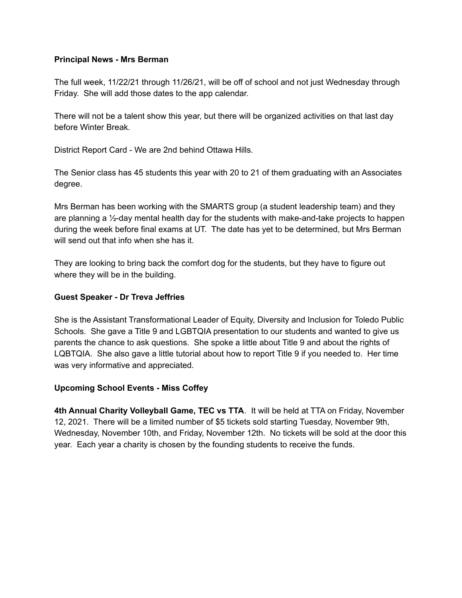#### **Principal News - Mrs Berman**

The full week, 11/22/21 through 11/26/21, will be off of school and not just Wednesday through Friday. She will add those dates to the app calendar.

There will not be a talent show this year, but there will be organized activities on that last day before Winter Break.

District Report Card - We are 2nd behind Ottawa Hills.

The Senior class has 45 students this year with 20 to 21 of them graduating with an Associates degree.

Mrs Berman has been working with the SMARTS group (a student leadership team) and they are planning a  $\frac{1}{2}$ -day mental health day for the students with make-and-take projects to happen during the week before final exams at UT. The date has yet to be determined, but Mrs Berman will send out that info when she has it.

They are looking to bring back the comfort dog for the students, but they have to figure out where they will be in the building.

#### **Guest Speaker - Dr Treva Jeffries**

She is the Assistant Transformational Leader of Equity, Diversity and Inclusion for Toledo Public Schools. She gave a Title 9 and LGBTQIA presentation to our students and wanted to give us parents the chance to ask questions. She spoke a little about Title 9 and about the rights of LQBTQIA. She also gave a little tutorial about how to report Title 9 if you needed to. Her time was very informative and appreciated.

### **Upcoming School Events - Miss Coffey**

**4th Annual Charity Volleyball Game, TEC vs TTA**. It will be held at TTA on Friday, November 12, 2021. There will be a limited number of \$5 tickets sold starting Tuesday, November 9th, Wednesday, November 10th, and Friday, November 12th. No tickets will be sold at the door this year. Each year a charity is chosen by the founding students to receive the funds.